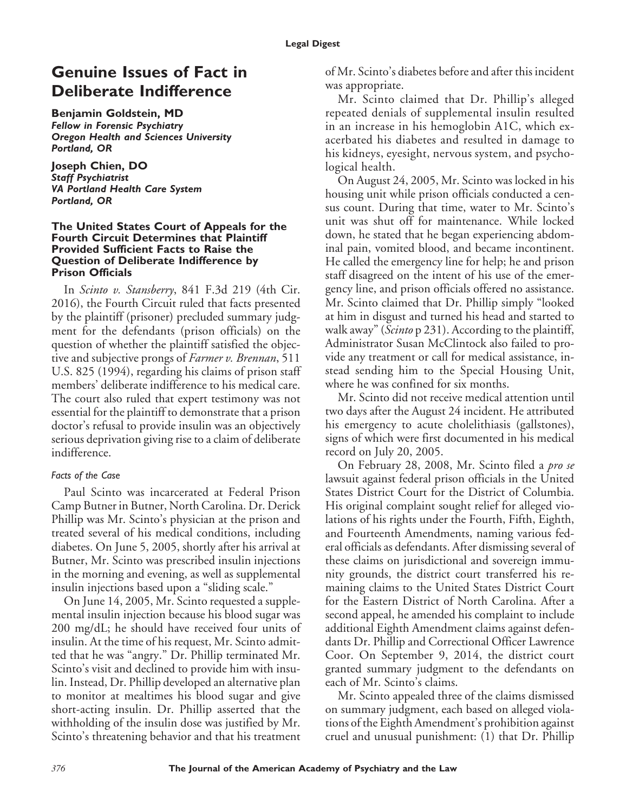# **Genuine Issues of Fact in Deliberate Indifference**

**Benjamin Goldstein, MD**

*Fellow in Forensic Psychiatry Oregon Health and Sciences University Portland, OR*

**Joseph Chien, DO** *Staff Psychiatrist VA Portland Health Care System Portland, OR*

#### **The United States Court of Appeals for the Fourth Circuit Determines that Plaintiff Provided Sufficient Facts to Raise the Question of Deliberate Indifference by Prison Officials**

In *Scinto v. Stansberry*, 841 F.3d 219 (4th Cir. 2016), the Fourth Circuit ruled that facts presented by the plaintiff (prisoner) precluded summary judgment for the defendants (prison officials) on the question of whether the plaintiff satisfied the objective and subjective prongs of *Farmer v. Brennan*, 511 U.S. 825 (1994), regarding his claims of prison staff members' deliberate indifference to his medical care. The court also ruled that expert testimony was not essential for the plaintiff to demonstrate that a prison doctor's refusal to provide insulin was an objectively serious deprivation giving rise to a claim of deliberate indifference.

## *Facts of the Case*

Paul Scinto was incarcerated at Federal Prison Camp Butner in Butner, North Carolina. Dr. Derick Phillip was Mr. Scinto's physician at the prison and treated several of his medical conditions, including diabetes. On June 5, 2005, shortly after his arrival at Butner, Mr. Scinto was prescribed insulin injections in the morning and evening, as well as supplemental insulin injections based upon a "sliding scale."

On June 14, 2005, Mr. Scinto requested a supplemental insulin injection because his blood sugar was 200 mg/dL; he should have received four units of insulin. At the time of his request, Mr. Scinto admitted that he was "angry." Dr. Phillip terminated Mr. Scinto's visit and declined to provide him with insulin. Instead, Dr. Phillip developed an alternative plan to monitor at mealtimes his blood sugar and give short-acting insulin. Dr. Phillip asserted that the withholding of the insulin dose was justified by Mr. Scinto's threatening behavior and that his treatment of Mr. Scinto's diabetes before and after this incident was appropriate.

Mr. Scinto claimed that Dr. Phillip's alleged repeated denials of supplemental insulin resulted in an increase in his hemoglobin A1C, which exacerbated his diabetes and resulted in damage to his kidneys, eyesight, nervous system, and psychological health.

On August 24, 2005, Mr. Scinto was locked in his housing unit while prison officials conducted a census count. During that time, water to Mr. Scinto's unit was shut off for maintenance. While locked down, he stated that he began experiencing abdominal pain, vomited blood, and became incontinent. He called the emergency line for help; he and prison staff disagreed on the intent of his use of the emergency line, and prison officials offered no assistance. Mr. Scinto claimed that Dr. Phillip simply "looked at him in disgust and turned his head and started to walk away" (*Scinto* p 231). According to the plaintiff, Administrator Susan McClintock also failed to provide any treatment or call for medical assistance, instead sending him to the Special Housing Unit, where he was confined for six months.

Mr. Scinto did not receive medical attention until two days after the August 24 incident. He attributed his emergency to acute cholelithiasis (gallstones), signs of which were first documented in his medical record on July 20, 2005.

On February 28, 2008, Mr. Scinto filed a *pro se* lawsuit against federal prison officials in the United States District Court for the District of Columbia. His original complaint sought relief for alleged violations of his rights under the Fourth, Fifth, Eighth, and Fourteenth Amendments, naming various federal officials as defendants. After dismissing several of these claims on jurisdictional and sovereign immunity grounds, the district court transferred his remaining claims to the United States District Court for the Eastern District of North Carolina. After a second appeal, he amended his complaint to include additional Eighth Amendment claims against defendants Dr. Phillip and Correctional Officer Lawrence Coor. On September 9, 2014, the district court granted summary judgment to the defendants on each of Mr. Scinto's claims.

Mr. Scinto appealed three of the claims dismissed on summary judgment, each based on alleged violations of the Eighth Amendment's prohibition against cruel and unusual punishment: (1) that Dr. Phillip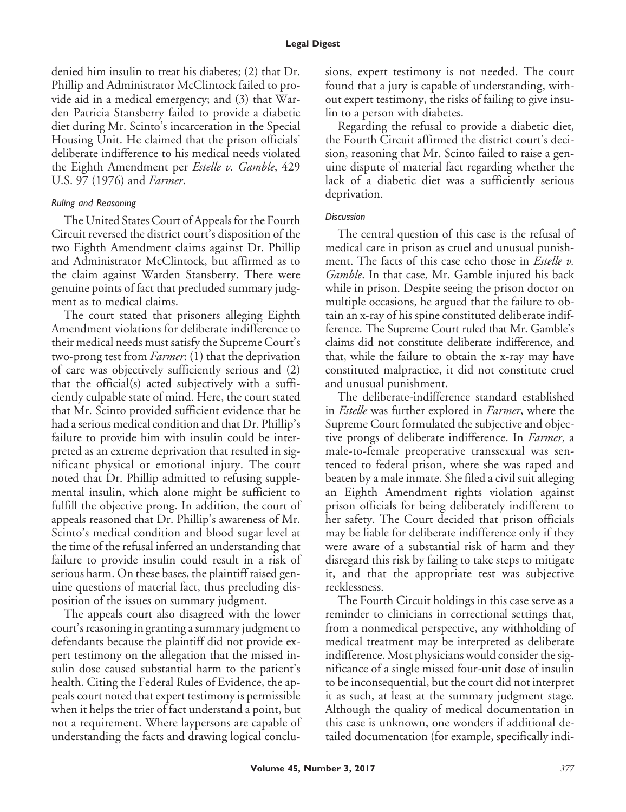denied him insulin to treat his diabetes; (2) that Dr. Phillip and Administrator McClintock failed to provide aid in a medical emergency; and (3) that Warden Patricia Stansberry failed to provide a diabetic diet during Mr. Scinto's incarceration in the Special Housing Unit. He claimed that the prison officials' deliberate indifference to his medical needs violated the Eighth Amendment per *Estelle v. Gamble*, 429 U.S. 97 (1976) and *Farmer*.

### *Ruling and Reasoning*

The United States Court of Appeals for the Fourth Circuit reversed the district court's disposition of the two Eighth Amendment claims against Dr. Phillip and Administrator McClintock, but affirmed as to the claim against Warden Stansberry. There were genuine points of fact that precluded summary judgment as to medical claims.

The court stated that prisoners alleging Eighth Amendment violations for deliberate indifference to their medical needs must satisfy the Supreme Court's two-prong test from *Farmer*: (1) that the deprivation of care was objectively sufficiently serious and (2) that the official(s) acted subjectively with a sufficiently culpable state of mind. Here, the court stated that Mr. Scinto provided sufficient evidence that he had a serious medical condition and that Dr. Phillip's failure to provide him with insulin could be interpreted as an extreme deprivation that resulted in significant physical or emotional injury. The court noted that Dr. Phillip admitted to refusing supplemental insulin, which alone might be sufficient to fulfill the objective prong. In addition, the court of appeals reasoned that Dr. Phillip's awareness of Mr. Scinto's medical condition and blood sugar level at the time of the refusal inferred an understanding that failure to provide insulin could result in a risk of serious harm. On these bases, the plaintiff raised genuine questions of material fact, thus precluding disposition of the issues on summary judgment.

The appeals court also disagreed with the lower court's reasoning in granting a summary judgment to defendants because the plaintiff did not provide expert testimony on the allegation that the missed insulin dose caused substantial harm to the patient's health. Citing the Federal Rules of Evidence, the appeals court noted that expert testimony is permissible when it helps the trier of fact understand a point, but not a requirement. Where laypersons are capable of understanding the facts and drawing logical conclusions, expert testimony is not needed. The court found that a jury is capable of understanding, without expert testimony, the risks of failing to give insulin to a person with diabetes.

Regarding the refusal to provide a diabetic diet, the Fourth Circuit affirmed the district court's decision, reasoning that Mr. Scinto failed to raise a genuine dispute of material fact regarding whether the lack of a diabetic diet was a sufficiently serious deprivation.

#### *Discussion*

The central question of this case is the refusal of medical care in prison as cruel and unusual punishment. The facts of this case echo those in *Estelle v. Gamble*. In that case, Mr. Gamble injured his back while in prison. Despite seeing the prison doctor on multiple occasions, he argued that the failure to obtain an x-ray of his spine constituted deliberate indifference. The Supreme Court ruled that Mr. Gamble's claims did not constitute deliberate indifference, and that, while the failure to obtain the x-ray may have constituted malpractice, it did not constitute cruel and unusual punishment.

The deliberate-indifference standard established in *Estelle* was further explored in *Farmer*, where the Supreme Court formulated the subjective and objective prongs of deliberate indifference. In *Farmer*, a male-to-female preoperative transsexual was sentenced to federal prison, where she was raped and beaten by a male inmate. She filed a civil suit alleging an Eighth Amendment rights violation against prison officials for being deliberately indifferent to her safety. The Court decided that prison officials may be liable for deliberate indifference only if they were aware of a substantial risk of harm and they disregard this risk by failing to take steps to mitigate it, and that the appropriate test was subjective recklessness.

The Fourth Circuit holdings in this case serve as a reminder to clinicians in correctional settings that, from a nonmedical perspective, any withholding of medical treatment may be interpreted as deliberate indifference. Most physicians would consider the significance of a single missed four-unit dose of insulin to be inconsequential, but the court did not interpret it as such, at least at the summary judgment stage. Although the quality of medical documentation in this case is unknown, one wonders if additional detailed documentation (for example, specifically indi